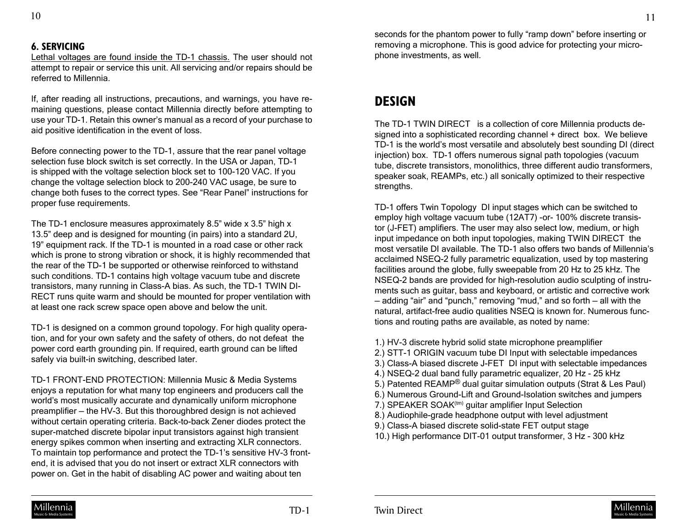## **6. SERVICING**

Lethal voltages are found inside the TD-1 chassis. The user should not attempt to repair or service this unit. All servicing and/or repairs should be referred to Millennia.

If, after reading all instructions, precautions, and warnings, you have remaining questions, please contact Millennia directly before attempting to use your TD-1. Retain this owner's manual as a record of your purchase to aid positive identification in the event of loss.

Before connecting power to the TD-1, assure that the rear panel voltage selection fuse block switch is set correctly. In the USA or Japan, TD-1 is shipped with the voltage selection block set to 100-120 VAC. If you change the voltage selection block to 200-240 VAC usage, be sure to change both fuses to the correct types. See "Rear Panel" instructions for proper fuse requirements.

The TD-1 enclosure measures approximately 8.5" wide x 3.5" high x 13.5" deep and is designed for mounting (in pairs) into a standard 2U, 19" equipment rack. If the TD-1 is mounted in a road case or other rack which is prone to strong vibration or shock, it is highly recommended that the rear of the TD-1 be supported or otherwise reinforced to withstand such conditions. TD-1 contains high voltage vacuum tube and discrete transistors, many running in Class-A bias. As such, the TD-1 TWIN DI-RECT runs quite warm and should be mounted for proper ventilation with at least one rack screw space open above and below the unit.

TD-1 is designed on a common ground topology. For high quality operation, and for your own safety and the safety of others, do not defeat the power cord earth grounding pin. If required, earth ground can be lifted safely via built-in switching, described later.

TD-1 FRONT-END PROTECTION: Millennia Music & Media Systems enjoys a reputation for what many top engineers and producers call the world's most musically accurate and dynamically uniform microphone preamplifier — the HV-3. But this thoroughbred design is not achieved without certain operating criteria. Back-to-back Zener diodes protect the super-matched discrete bipolar input transistors against high transient energy spikes common when inserting and extracting XLR connectors. To maintain top performance and protect the TD-1's sensitive HV-3 frontend, it is advised that you do not insert or extract XLR connectors with power on. Get in the habit of disabling AC power and waiting about ten

seconds for the phantom power to fully "ramp down" before inserting or removing a microphone. This is good advice for protecting your microphone investments, as well.

## **DESIGN**

The TD-1 TWIN DIRECT is a collection of core Millennia products designed into a sophisticated recording channel + direct box. We believe TD-1 is the world's most versatile and absolutely best sounding DI (direct injection) box. TD-1 offers numerous signal path topologies (vacuum tube, discrete transistors, monolithics, three different audio transformers, speaker soak, REAMPs, etc.) all sonically optimized to their respective strengths.

TD-1 offers Twin Topology DI input stages which can be switched to employ high voltage vacuum tube (12AT7) -or- 100% discrete transistor (J-FET) amplifiers. The user may also select low, medium, or high input impedance on both input topologies, making TWIN DIRECT the most versatile DI available. The TD-1 also offers two bands of Millennia's acclaimed NSEQ-2 fully parametric equalization, used by top mastering facilities around the globe, fully sweepable from 20 Hz to 25 kHz. The NSEQ-2 bands are provided for high-resolution audio sculpting of instruments such as guitar, bass and keyboard, or artistic and corrective work — adding "air" and "punch," removing "mud," and so forth — all with the natural, artifact-free audio qualities NSEQ is known for. Numerous functions and routing paths are available, as noted by name:

- 1.) HV-3 discrete hybrid solid state microphone preamplifier
- 2.) STT-1 ORIGIN vacuum tube DI Input with selectable impedances
- 3.) Class-A biased discrete J-FET DI input with selectable impedances
- 4.) NSEQ-2 dual band fully parametric equalizer, 20 Hz 25 kHz
- 5.) Patented REAMP® dual guitar simulation outputs (Strat & Les Paul)
- 6.) Numerous Ground-Lift and Ground-Isolation switches and jumpers
- 7.) SPEAKER SOAK<sup>(tm)</sup> quitar amplifier Input Selection
- 8.) Audiophile-grade headphone output with level adjustment
- 9.) Class-A biased discrete solid-state FET output stage
- 10.) High performance DIT-01 output transformer, 3 Hz 300 kHz

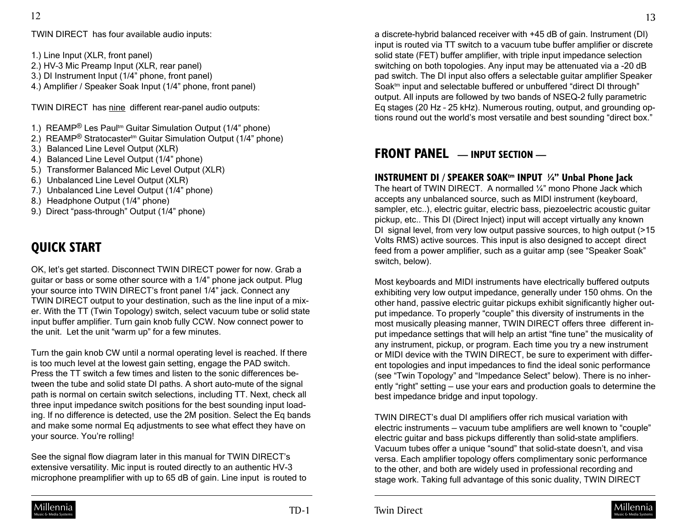TWIN DIRECT has four available audio inputs:

1.) Line Input (XLR, front panel)

- 2.) HV–3 Mic Preamp Input (XLR, rear panel)
- 3.) DI Instrument Input (1/4" phone, front panel)
- 4.) Amplifier / Speaker Soak Input (1/4" phone, front panel)

TWIN DIRECT has nine different rear-panel audio outputs:

- 1.) REAMP<sup>®</sup> Les Paul<sup>tm</sup> Guitar Simulation Output (1/4" phone)
- 2.) REAMP<sup>®</sup> Stratocaster<sup>tm</sup> Guitar Simulation Output (1/4" phone)
- 3.) Balanced Line Level Output (XLR)
- 4.) Balanced Line Level Output (1/4" phone)
- 5.) Transformer Balanced Mic Level Output (XLR)
- 6.) Unbalanced Line Level Output (XLR)
- 7.) Unbalanced Line Level Output (1/4" phone)
- 8.) Headphone Output (1/4" phone)
- 9.) Direct "pass-through" Output (1/4" phone)

## **QUICK START**

OK, let's get started. Disconnect TWIN DIRECT power for now. Grab a guitar or bass or some other source with a 1/4" phone jack output. Plug your source into TWIN DIRECT's front panel 1/4" jack. Connect any TWIN DIRECT output to your destination, such as the line input of a mixer. With the TT (Twin Topology) switch, select vacuum tube or solid state input buffer amplifier. Turn gain knob fully CCW. Now connect power to the unit. Let the unit "warm up" for a few minutes.

Turn the gain knob CW until a normal operating level is reached. If there is too much level at the lowest gain setting, engage the PAD switch. Press the TT switch a few times and listen to the sonic differences between the tube and solid state DI paths. A short auto-mute of the signal path is normal on certain switch selections, including TT. Next, check all three input impedance switch positions for the best sounding input loading. If no difference is detected, use the 2M position. Select the Eq bands and make some normal Eq adjustments to see what effect they have on your source. You're rolling!

See the signal flow diagram later in this manual for TWIN DIRECT's extensive versatility. Mic input is routed directly to an authentic HV-3 microphone preamplifier with up to 65 dB of gain. Line input is routed to

a discrete-hybrid balanced receiver with +45 dB of gain. Instrument (DI) input is routed via TT switch to a vacuum tube buffer amplifier or discrete solid state (FET) buffer amplifier, with triple input impedance selection switching on both topologies. Any input may be attenuated via a -20 dB pad switch. The DI input also offers a selectable guitar amplifier Speaker Soak<sup>tm</sup> input and selectable buffered or unbuffered "direct DI through" output. All inputs are followed by two bands of NSEQ-2 fully parametric Eq stages (20 Hz – 25 kHz). Numerous routing, output, and grounding options round out the world's most versatile and best sounding "direct box."

## **FRONT PANEL — INPUT SECTION —**

### **INSTRUMENT DI / SPEAKER SOAK<sup>tm</sup> INPUT 1/4" Unbal Phone Jack**

The heart of TWIN DIRECT. A normalled 1/4" mono Phone Jack which accepts any unbalanced source, such as MIDI instrument (keyboard, sampler, etc..), electric guitar, electric bass, piezoelectric acoustic guitar pickup, etc.. This DI (Direct Inject) input will accept virtually any known DI signal level, from very low output passive sources, to high output (>15 Volts RMS) active sources. This input is also designed to accept direct feed from a power amplifier, such as a guitar amp (see "Speaker Soak" switch, below).

Most keyboards and MIDI instruments have electrically buffered outputs exhibiting very low output impedance, generally under 150 ohms. On the other hand, passive electric guitar pickups exhibit significantly higher output impedance. To properly "couple" this diversity of instruments in the most musically pleasing manner, TWIN DIRECT offers three different input impedance settings that will help an artist "fine tune" the musicality of any instrument, pickup, or program. Each time you try a new instrument or MIDI device with the TWIN DIRECT, be sure to experiment with different topologies and input impedances to find the ideal sonic performance (see "Twin Topology" and "Impedance Select" below). There is no inherently "right" setting — use your ears and production goals to determine the best impedance bridge and input topology.

TWIN DIRECT's dual DI amplifiers offer rich musical variation with electric instruments — vacuum tube amplifiers are well known to "couple" electric guitar and bass pickups differently than solid-state amplifiers. Vacuum tubes offer a unique "sound" that solid-state doesn't, and visa versa. Each amplifier topology offers complimentary sonic performance to the other, and both are widely used in professional recording and stage work. Taking full advantage of this sonic duality, TWIN DIRECT

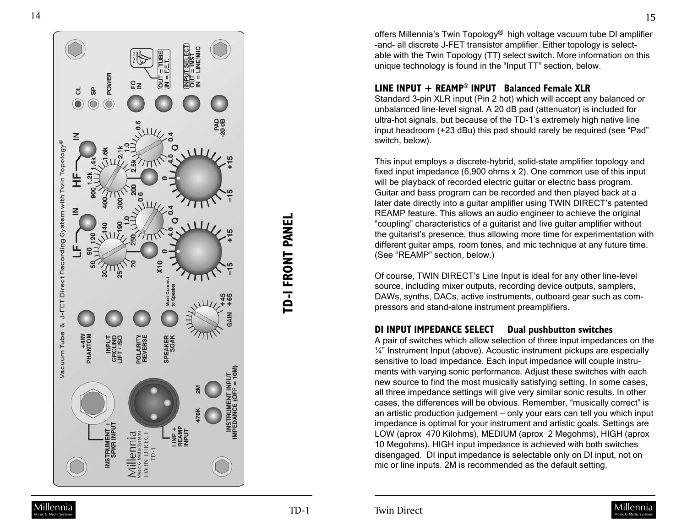

TD-I FRONT PANEL **TD-1 FRONT PANEL**

offers Millennia's Twin Topology® high voltage vacuum tube DI amplifier -and- all discrete J-FET transistor amplifier. Either topology is select able with the Twin Topology (TT) select switch. More information on this unique technology is found in the "Input TT" section, below.

#### **LINE INPUT + REAMP** ® **INPUT Balanced Female XLR**

Standard 3-pin XLR input (Pin 2 hot) which will accept any balanced or unbalanced line-level signal. A 20 dB pad (attenuator) is included for ultra-hot signals, but because of the TD-1's extremely high native line input headroom (+23 dBu) this pad should rarely be required (see "Pad" switch, below).

This input employs a discrete-hybrid, solid-state amplifier topology and fixed input impedance (6,900 ohms x 2). One common use of this input will be playback of recorded electric guitar or electric bass program. Guitar and bass program can be recorded and then played back at a later date directly into a guitar amplifier using TWIN DIRECT's patented REAMP feature. This allows an audio engineer to achieve the original "coupling" characteristics of a guitarist and live guitar amplifier without the guitarist's presence, thus allowing more time for experimentation with different guitar amps, room tones, and mic technique at any future time. (See "REAMP" section, below.)

Of course, TWIN DIRECT's Line Input is ideal for any other line-level source, including mixer outputs, recording device outputs, samplers, DAWs, synths, DACs, active instruments, outboard gear such as com pressors and stand-alone instrument preamplifiers.

### **DI INPUT IMPEDANCE SELECT Dual pushbutton switches**

A pair of switches which allow selection of three input impedances on the ¼" Instrument Input (above). Acoustic instrument pickups are especially sensitive to load impedance. Each input impedance will couple instru ments with varying sonic performance. Adjust these switches with each new source to find the most musically satisfying setting. In some cases, all three impedance settings will give very similar sonic results. In other cases, the differences will be obvious. Remember, "musically correct" is an artistic production judgement — only your ears can tell you which input impedance is optimal for your instrument and artistic goals. Settings are LOW (aprox 470 Kilohms), MEDIUM (aprox 2 Megohms), HIGH (aprox 10 Megohms). HIGH input impedance is achieved with both switches disengaged. DI input impedance is selectable only on DI input, not on mic or line inputs. 2M is recommended as the default setting.

15

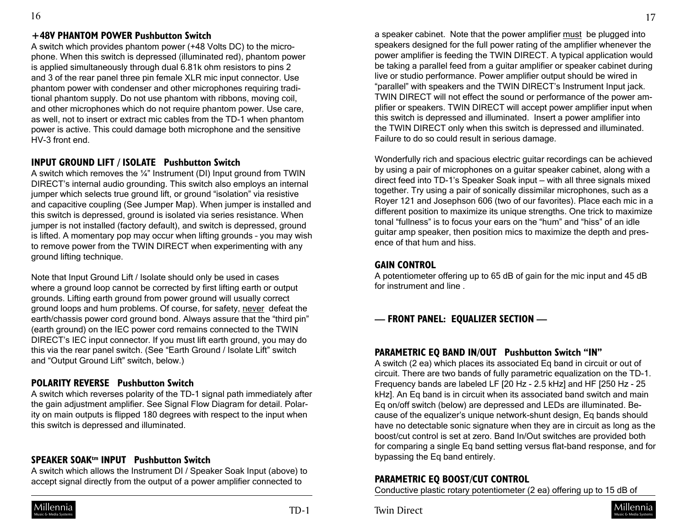## **+48V PHANTOM POWER Pushbutton Switch**

A switch which provides phantom power (+48 Volts DC) to the microphone. When this switch is depressed (illuminated red), phantom power is applied simultaneously through dual 6.81k ohm resistors to pins 2 and 3 of the rear panel three pin female XLR mic input connector. Use phantom power with condenser and other microphones requiring traditional phantom supply. Do not use phantom with ribbons, moving coil, and other microphones which do not require phantom power. Use care, as well, not to insert or extract mic cables from the TD-1 when phantom power is active. This could damage both microphone and the sensitive HV-3 front end.

## **INPUT GROUND LIFT / ISOLATE Pushbutton Switch**

A switch which removes the ¼" Instrument (DI) Input ground from TWIN DIRECT's internal audio grounding. This switch also employs an internal jumper which selects true ground lift, or ground "isolation" via resistive and capacitive coupling (See Jumper Map). When jumper is installed and this switch is depressed, ground is isolated via series resistance. When jumper is not installed (factory default), and switch is depressed, ground is lifted. A momentary pop may occur when lifting grounds – you may wish to remove power from the TWIN DIRECT when experimenting with any ground lifting technique.

Note that Input Ground Lift / Isolate should only be used in cases where a ground loop cannot be corrected by first lifting earth or output grounds. Lifting earth ground from power ground will usually correct ground loops and hum problems. Of course, for safety, never defeat the earth/chassis power cord ground bond. Always assure that the "third pin" (earth ground) on the IEC power cord remains connected to the TWIN DIRECT's IEC input connector. If you must lift earth ground, you may do this via the rear panel switch. (See "Earth Ground / Isolate Lift" switch and "Output Ground Lift" switch, below.)

### **POLARITY REVERSE Pushbutton Switch**

A switch which reverses polarity of the TD-1 signal path immediately after the gain adjustment amplifier. See Signal Flow Diagram for detail. Polarity on main outputs is flipped 180 degrees with respect to the input when this switch is depressed and illuminated.

## **SPEAKER SOAKtm INPUT Pushbutton Switch**

A switch which allows the Instrument DI / Speaker Soak Input (above) to accept signal directly from the output of a power amplifier connected to



a speaker cabinet. Note that the power amplifier must be plugged into speakers designed for the full power rating of the amplifier whenever the power amplifier is feeding the TWIN DIRECT. A typical application would be taking a parallel feed from a guitar amplifier or speaker cabinet during live or studio performance. Power amplifier output should be wired in "parallel" with speakers and the TWIN DIRECT's Instrument Input jack. TWIN DIRECT will not effect the sound or performance of the power amplifier or speakers. TWIN DIRECT will accept power amplifier input when this switch is depressed and illuminated. Insert a power amplifier into the TWIN DIRECT only when this switch is depressed and illuminated. Failure to do so could result in serious damage.

Wonderfully rich and spacious electric guitar recordings can be achieved by using a pair of microphones on a guitar speaker cabinet, along with a direct feed into TD-1's Speaker Soak input — with all three signals mixed together. Try using a pair of sonically dissimilar microphones, such as a Royer 121 and Josephson 606 (two of our favorites). Place each mic in a different position to maximize its unique strengths. One trick to maximize tonal "fullness" is to focus your ears on the "hum" and "hiss" of an idle guitar amp speaker, then position mics to maximize the depth and presence of that hum and hiss.

#### **GAIN CONTROL**

A potentiometer offering up to 65 dB of gain for the mic input and 45 dB for instrument and line .

## **— FRONT PANEL: EQUALIZER SECTION —**

#### **PARAMETRIC EQ BAND IN/OUT Pushbutton Switch "IN"**

A switch (2 ea) which places its associated Eq band in circuit or out of circuit. There are two bands of fully parametric equalization on the TD-1. Frequency bands are labeled LF [20 Hz - 2.5 kHz] and HF [250 Hz - 25 kHz]. An Eq band is in circuit when its associated band switch and main Eq on/off switch (below) are depressed and LEDs are illuminated. Because of the equalizer's unique network-shunt design, Eq bands should have no detectable sonic signature when they are in circuit as long as the boost/cut control is set at zero. Band In/Out switches are provided both for comparing a single Eq band setting versus flat-band response, and for bypassing the Eq band entirely.

### **PARAMETRIC EQ BOOST/CUT CONTROL**

Conductive plastic rotary potentiometer (2 ea) offering up to 15 dB of

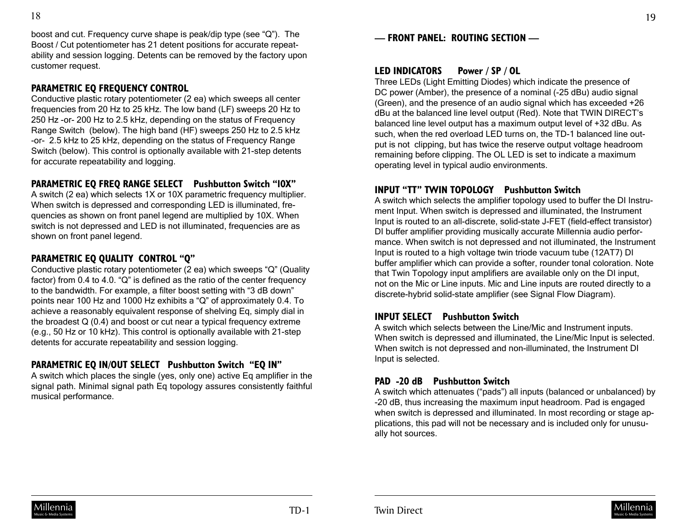boost and cut. Frequency curve shape is peak/dip type (see "Q"). The Boost / Cut potentiometer has 21 detent positions for accurate repeatability and session logging. Detents can be removed by the factory upon customer request.

## **PARAMETRIC EQ FREQUENCY CONTROL**

Conductive plastic rotary potentiometer (2 ea) which sweeps all center frequencies from 20 Hz to 25 kHz. The low band (LF) sweeps 20 Hz to 250 Hz -or- 200 Hz to 2.5 kHz, depending on the status of Frequency Range Switch (below). The high band (HF) sweeps 250 Hz to 2.5 kHz -or- 2.5 kHz to 25 kHz, depending on the status of Frequency Range Switch (below). This control is optionally available with 21-step detents for accurate repeatability and logging.

## **PARAMETRIC EQ FREQ RANGE SELECT Pushbutton Switch "10X"**

A switch (2 ea) which selects 1X or 10X parametric frequency multiplier. When switch is depressed and corresponding LED is illuminated, frequencies as shown on front panel legend are multiplied by 10X. When switch is not depressed and LED is not illuminated, frequencies are as shown on front panel legend.

## **PARAMETRIC EQ QUALITY CONTROL "Q"**

Conductive plastic rotary potentiometer (2 ea) which sweeps "Q" (Quality factor) from 0.4 to 4.0. "Q" is defined as the ratio of the center frequency to the bandwidth. For example, a filter boost setting with "3 dB down" points near 100 Hz and 1000 Hz exhibits a "Q" of approximately 0.4. To achieve a reasonably equivalent response of shelving Eq, simply dial in the broadest Q (0.4) and boost or cut near a typical frequency extreme (e.g., 50 Hz or 10 kHz). This control is optionally available with 21-step detents for accurate repeatability and session logging.

## **PARAMETRIC EQ IN/OUT SELECT Pushbutton Switch "EQ IN"**

A switch which places the single (yes, only one) active Eq amplifier in the signal path. Minimal signal path Eq topology assures consistently faithful musical performance.

## **LED INDICATORS Power / SP / OL**

Three LEDs (Light Emitting Diodes) which indicate the presence of DC power (Amber), the presence of a nominal (-25 dBu) audio signal (Green), and the presence of an audio signal which has exceeded +26 dBu at the balanced line level output (Red). Note that TWIN DIRECT's balanced line level output has a maximum output level of +32 dBu. As such, when the red overload LED turns on, the TD-1 balanced line output is not clipping, but has twice the reserve output voltage headroom remaining before clipping. The OL LED is set to indicate a maximum operating level in typical audio environments.

## **INPUT "TT" TWIN TOPOLOGY Pushbutton Switch**

A switch which selects the amplifier topology used to buffer the DI Instrument Input. When switch is depressed and illuminated, the Instrument Input is routed to an all-discrete, solid-state J-FET (field-effect transistor) DI buffer amplifier providing musically accurate Millennia audio performance. When switch is not depressed and not illuminated, the Instrument Input is routed to a high voltage twin triode vacuum tube (12AT7) DI buffer amplifier which can provide a softer, rounder tonal coloration. Note that Twin Topology input amplifiers are available only on the DI input, not on the Mic or Line inputs. Mic and Line inputs are routed directly to a discrete-hybrid solid-state amplifier (see Signal Flow Diagram).

## **INPUT SELECT Pushbutton Switch**

A switch which selects between the Line/Mic and Instrument inputs. When switch is depressed and illuminated, the Line/Mic Input is selected. When switch is not depressed and non-illuminated, the Instrument DI Input is selected.

## **PAD -20 dB Pushbutton Switch**

A switch which attenuates ("pads") all inputs (balanced or unbalanced) by -20 dB, thus increasing the maximum input headroom. Pad is engaged when switch is depressed and illuminated. In most recording or stage applications, this pad will not be necessary and is included only for unusually hot sources.

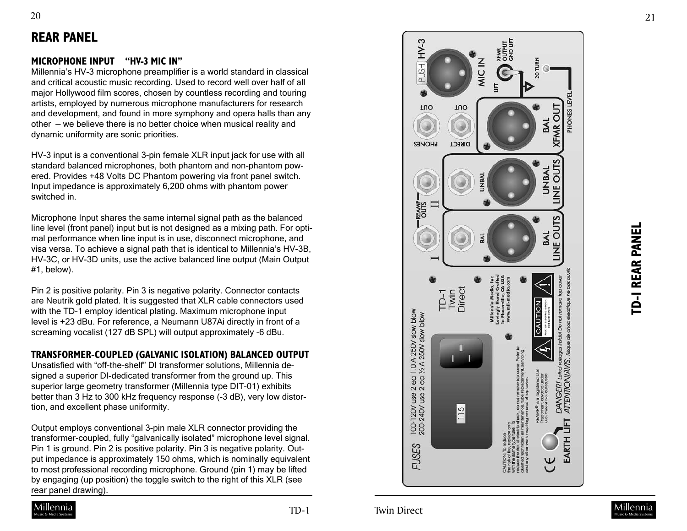# **REAR PANEL**

## **MICROPHONE INPUT "HV-3 MIC IN"**

Millennia's HV-3 microphone preamplifier is a world standard in classical and critical acoustic music recording. Used to record well over half of all major Hollywood film scores, chosen by countless recording and touring artists, employed by numerous microphone manufacturers for research and development, and found in more symphony and opera halls than any other — we believe there is no better choice when musical reality and dynamic uniformity are sonic priorities.

HV-3 input is a conventional 3-pin female XLR input jack for use with all standard balanced microphones, both phantom and non-phantom pow ered. Provides +48 Volts DC Phantom powering via front panel switch. Input impedance is approximately 6,200 ohms with phantom power switched in.

Microphone Input shares the same internal signal path as the balanced line level (front panel) input but is not designed as a mixing path. For opti mal performance when line input is in use, disconnect microphone, and visa versa. To achieve a signal path that is identical to Millennia's HV-3B, HV-3C, or HV-3D units, use the active balanced line output (Main Output #1, below).

Pin 2 is positive polarity. Pin 3 is negative polarity. Connector contacts are Neutrik gold plated. It is suggested that XLR cable connectors used with the TD-1 employ identical plating. Maximum microphone input level is +23 dBu. For reference, a Neumann U87Ai directly in front of a screaming vocalist (127 dB SPL) will output approximately -6 dBu.

## **TRANSFORMER-COUPLED (GALVANIC ISOLATION) BALANCED OUTPUT**

Unsatisfied with "off-the-shelf" DI transformer solutions, Millennia de signed a superior DI-dedicated transformer from the ground up. This superior large geometry transformer (Millennia type DIT-01) exhibits better than 3 Hz to 300 kHz frequency response (-3 dB), very low distor tion, and excellent phase uniformity.

Output employs conventional 3-pin male XLR connector providing the transformer-coupled, fully "galvanically isolated" microphone level signal. Pin 1 is ground. Pin 2 is positive polarity. Pin 3 is negative polarity. Out put impedance is approximately 150 ohms, which is nominally equivalent to most professional recording microphone. Ground (pin 1) may be lifted by engaging (up position) the toggle switch to the right of this XLR (see rear panel drawing).





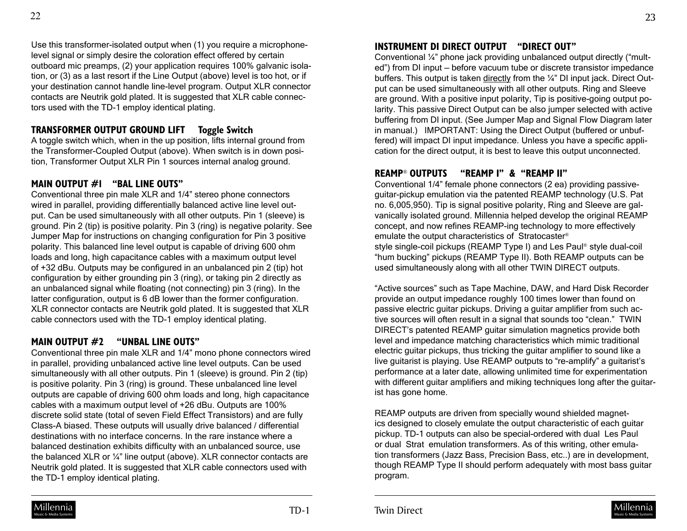Use this transformer-isolated output when (1) you require a microphonelevel signal or simply desire the coloration effect offered by certain outboard mic preamps, (2) your application requires 100% galvanic isolation, or (3) as a last resort if the Line Output (above) level is too hot, or if your destination cannot handle line-level program. Output XLR connector contacts are Neutrik gold plated. It is suggested that XLR cable connectors used with the TD-1 employ identical plating.

## **TRANSFORMER OUTPUT GROUND LIFT Toggle Switch**

A toggle switch which, when in the up position, lifts internal ground from the Transformer-Coupled Output (above). When switch is in down position, Transformer Output XLR Pin 1 sources internal analog ground.

### **MAIN OUTPUT #1 "BAL LINE OUTS"**

Conventional three pin male XLR and 1/4" stereo phone connectors wired in parallel, providing differentially balanced active line level output. Can be used simultaneously with all other outputs. Pin 1 (sleeve) is ground. Pin 2 (tip) is positive polarity. Pin 3 (ring) is negative polarity. See Jumper Map for instructions on changing configuration for Pin 3 positive polarity. This balanced line level output is capable of driving 600 ohm loads and long, high capacitance cables with a maximum output level of +32 dBu. Outputs may be configured in an unbalanced pin 2 (tip) hot configuration by either grounding pin 3 (ring), or taking pin 2 directly as an unbalanced signal while floating (not connecting) pin 3 (ring). In the latter configuration, output is 6 dB lower than the former configuration. XLR connector contacts are Neutrik gold plated. It is suggested that XLR cable connectors used with the TD-1 employ identical plating.

## **MAIN OUTPUT #2 "UNBAL LINE OUTS"**

Conventional three pin male XLR and 1/4" mono phone connectors wired in parallel, providing unbalanced active line level outputs. Can be used simultaneously with all other outputs. Pin 1 (sleeve) is ground. Pin 2 (tip) is positive polarity. Pin 3 (ring) is ground. These unbalanced line level outputs are capable of driving 600 ohm loads and long, high capacitance cables with a maximum output level of +26 dBu. Outputs are 100% discrete solid state (total of seven Field Effect Transistors) and are fully Class-A biased. These outputs will usually drive balanced / differential destinations with no interface concerns. In the rare instance where a balanced destination exhibits difficulty with an unbalanced source, use the balanced XLR or ¼" line output (above). XLR connector contacts are Neutrik gold plated. It is suggested that XLR cable connectors used with the TD-1 employ identical plating.

## **INSTRUMENT DI DIRECT OUTPUT "DIRECT OUT"**

Conventional ¼" phone jack providing unbalanced output directly ("multed") from DI input — before vacuum tube or discrete transistor impedance buffers. This output is taken directly from the ¼" DI input jack. Direct Output can be used simultaneously with all other outputs. Ring and Sleeve are ground. With a positive input polarity, Tip is positive-going output polarity. This passive Direct Output can be also jumper selected with active buffering from DI input. (See Jumper Map and Signal Flow Diagram later in manual.) IMPORTANT: Using the Direct Output (buffered or unbuffered) will impact DI input impedance. Unless you have a specific application for the direct output, it is best to leave this output unconnected.

## **REAMP**® **OUTPUTS "REAMP I" & "REAMP II"**

Conventional 1/4" female phone connectors (2 ea) providing passiveguitar-pickup emulation via the patented REAMP technology (U.S. Pat no. 6,005,950). Tip is signal positive polarity, Ring and Sleeve are galvanically isolated ground. Millennia helped develop the original REAMP concept, and now refines REAMP-ing technology to more effectively emulate the output characteristics of Stratocaster® style single-coil pickups (REAMP Type I) and Les Paul® style dual-coil "hum bucking" pickups (REAMP Type II). Both REAMP outputs can be used simultaneously along with all other TWIN DIRECT outputs.

"Active sources" such as Tape Machine, DAW, and Hard Disk Recorder provide an output impedance roughly 100 times lower than found on passive electric guitar pickups. Driving a guitar amplifier from such active sources will often result in a signal that sounds too "clean." TWIN DIRECT's patented REAMP guitar simulation magnetics provide both level and impedance matching characteristics which mimic traditional electric guitar pickups, thus tricking the guitar amplifier to sound like a live guitarist is playing. Use REAMP outputs to "re-amplify" a guitarist's performance at a later date, allowing unlimited time for experimentation with different guitar amplifiers and miking techniques long after the guitarist has gone home.

REAMP outputs are driven from specially wound shielded magnetics designed to closely emulate the output characteristic of each guitar pickup. TD-1 outputs can also be special-ordered with dual Les Paul or dual Strat emulation transformers. As of this writing, other emulation transformers (Jazz Bass, Precision Bass, etc..) are in development, though REAMP Type II should perform adequately with most bass guitar program.



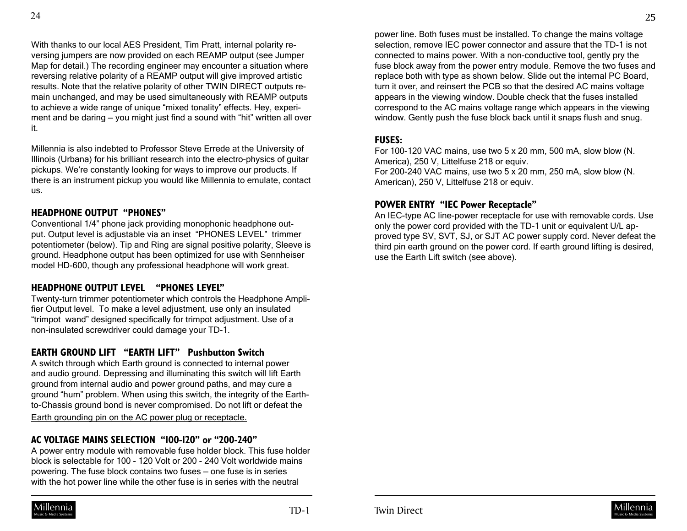With thanks to our local AES President, Tim Pratt, internal polarity reversing jumpers are now provided on each REAMP output (see Jumper Map for detail.) The recording engineer may encounter a situation where reversing relative polarity of a REAMP output will give improved artistic results. Note that the relative polarity of other TWIN DIRECT outputs remain unchanged, and may be used simultaneously with REAMP outputs to achieve a wide range of unique "mixed tonality" effects. Hey, experiment and be daring — you might just find a sound with "hit" written all over it.

Millennia is also indebted to Professor Steve Errede at the University of Illinois (Urbana) for his brilliant research into the electro-physics of guitar pickups. We're constantly looking for ways to improve our products. If there is an instrument pickup you would like Millennia to emulate, contact us.

#### **HEADPHONE OUTPUT "PHONES"**

Conventional 1/4" phone jack providing monophonic headphone output. Output level is adjustable via an inset "PHONES LEVEL" trimmer potentiometer (below). Tip and Ring are signal positive polarity, Sleeve is ground. Headphone output has been optimized for use with Sennheiser model HD-600, though any professional headphone will work great.

### **HEADPHONE OUTPUT LEVEL "PHONES LEVEL"**

Twenty-turn trimmer potentiometer which controls the Headphone Amplifier Output level. To make a level adjustment, use only an insulated "trimpot wand" designed specifically for trimpot adjustment. Use of a non-insulated screwdriver could damage your TD-1.

### **EARTH GROUND LIFT "EARTH LIFT" Pushbutton Switch**

A switch through which Earth ground is connected to internal power and audio ground. Depressing and illuminating this switch will lift Earth ground from internal audio and power ground paths, and may cure a ground "hum" problem. When using this switch, the integrity of the Earthto-Chassis ground bond is never compromised. Do not lift or defeat the

Earth grounding pin on the AC power plug or receptacle.

## **AC VOLTAGE MAINS SELECTION "100-120" or "200-240"**

A power entry module with removable fuse holder block. This fuse holder block is selectable for 100 - 120 Volt or 200 - 240 Volt worldwide mains powering. The fuse block contains two fuses — one fuse is in series with the hot power line while the other fuse is in series with the neutral

power line. Both fuses must be installed. To change the mains voltage selection, remove IEC power connector and assure that the TD-1 is not connected to mains power. With a non-conductive tool, gently pry the fuse block away from the power entry module. Remove the two fuses and replace both with type as shown below. Slide out the internal PC Board, turn it over, and reinsert the PCB so that the desired AC mains voltage appears in the viewing window. Double check that the fuses installed correspond to the AC mains voltage range which appears in the viewing window. Gently push the fuse block back until it snaps flush and snug.

#### **FUSES:**

For 100-120 VAC mains, use two 5 x 20 mm, 500 mA, slow blow (N. America), 250 V, Littelfuse 218 or equiv. For 200-240 VAC mains, use two 5 x 20 mm, 250 mA, slow blow (N. American), 250 V, Littelfuse 218 or equiv.

#### **POWER ENTRY "IEC Power Receptacle"**

An IEC-type AC line-power receptacle for use with removable cords. Use only the power cord provided with the TD-1 unit or equivalent U/L approved type SV, SVT, SJ, or SJT AC power supply cord. Never defeat the third pin earth ground on the power cord. If earth ground lifting is desired, use the Earth Lift switch (see above).

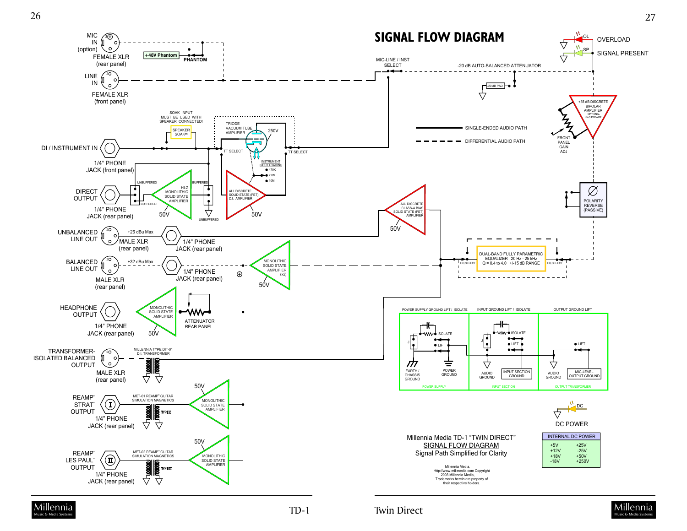



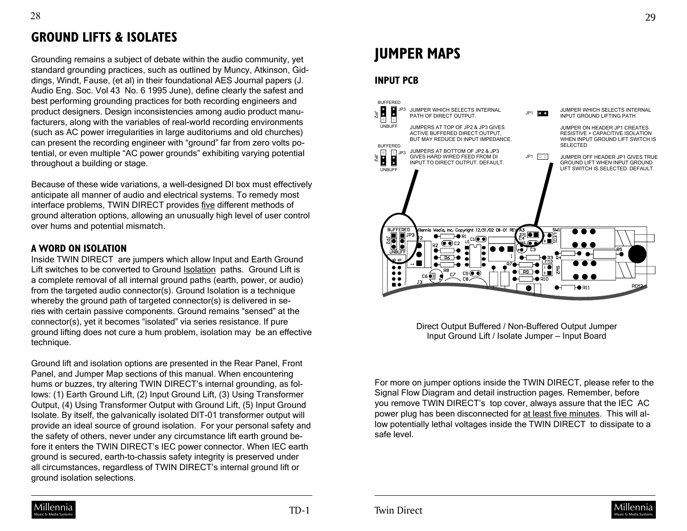## **GROUND LIFTS & ISOLATES**

Grounding remains a subject of debate within the audio community, yet standard grounding practices, such as outlined by Muncy, Atkinson, Giddings, Windt, Fause, (et al) in their foundational AES Journal papers (J. Audio Eng. Soc. Vol 43 No. 6 1995 June), define clearly the safest and best performing grounding practices for both recording engineers and product designers. Design inconsistencies among audio product manufacturers, along with the variables of real-world recording environments (such as AC power irregularities in large auditoriums and old churches) can present the recording engineer with "ground" far from zero volts potential, or even multiple "AC power grounds" exhibiting varying potential throughout a building or stage.

Because of these wide variations, a well-designed DI box must effectively anticipate all manner of audio and electrical systems. To remedy most interface problems, TWIN DIRECT provides five different methods of ground alteration options, allowing an unusually high level of user control over hums and potential mismatch.

### **A WORD ON ISOLATION**

Inside TWIN DIRECT are jumpers which allow Input and Earth Ground Lift switches to be converted to Ground Isolation paths. Ground Lift is a complete removal of all internal ground paths (earth, power, or audio) from the targeted audio connector(s). Ground Isolation is a technique whereby the ground path of targeted connector(s) is delivered in series with certain passive components. Ground remains "sensed" at the connector(s), yet it becomes "isolated" via series resistance. If pure ground lifting does not cure a hum problem, isolation may be an effective technique.

Ground lift and isolation options are presented in the Rear Panel, Front Panel, and Jumper Map sections of this manual. When encountering hums or buzzes, try altering TWIN DIRECT's internal grounding, as follows: (1) Earth Ground Lift, (2) Input Ground Lift, (3) Using Transformer Output, (4) Using Transformer Output with Ground Lift, (5) Input Ground Isolate. By itself, the galvanically isolated DIT-01 transformer output will provide an ideal source of ground isolation. For your personal safety and the safety of others, never under any circumstance lift earth ground before it enters the TWIN DIRECT's IEC power connector. When IEC earth ground is secured, earth-to-chassis safety integrity is preserved under all circumstances, regardless of TWIN DIRECT's internal ground lift or ground isolation selections.

# **JUMPER MAPS**

## **INPUT PCB**



Direct Output Buffered / Non-Buffered Output Jumper Input Ground Lift / Isolate Jumper — Input Board

For more on jumper options inside the TWIN DIRECT, please refer to the Signal Flow Diagram and detail instruction pages. Remember, before you remove TWIN DIRECT's top cover, always assure that the IEC AC power plug has been disconnected for at least five minutes. This will allow potentially lethal voltages inside the TWIN DIRECT to dissipate to a safe level.



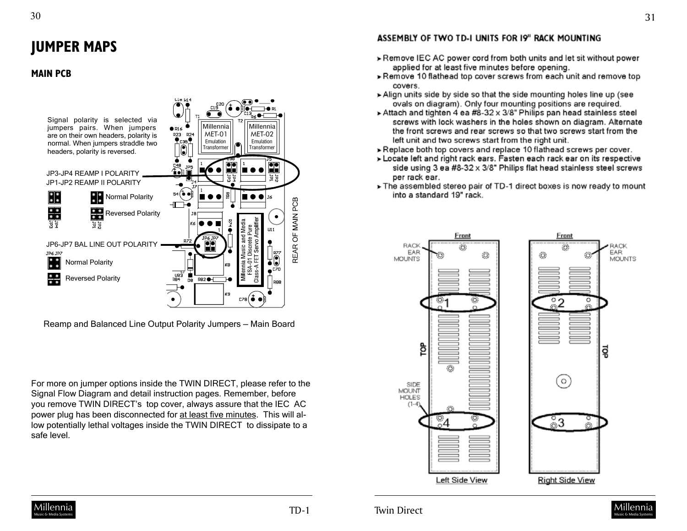# **JUMPER MAPS**

#### **MAIN PCB**



Reamp and Balanced Line Output Polarity Jumpers — Main Board

For more on jumper options inside the TWIN DIRECT, please refer to the Signal Flow Diagram and detail instruction pages. Remember, before you remove TWIN DIRECT's top cover, always assure that the IEC AC power plug has been disconnected for at least five minutes. This will allow potentially lethal voltages inside the TWIN DIRECT to dissipate to a safe level.

#### ASSEMBLY OF TWO TD-I UNITS FOR 19" RACK MOUNTING

- > Remove IEC AC power cord from both units and let sit without power applied for at least five minutes before opening.
- >Remove 10 flathead top cover screws from each unit and remove top covers.
- Align units side by side so that the side mounting holes line up (see ovals on diagram). Only four mounting positions are required.
- Attach and tighten 4 ea #8-32 x 3/8" Philips pan head stainless steel screws with lock washers in the holes shown on diagram. Alternate the front screws and rear screws so that two screws start from the left unit and two screws start from the right unit.
- Replace both top covers and replace 10 flathead screws per cover.
- > Locate left and right rack ears. Fasten each rack ear on its respective side using 3 ea #8-32 x 3/8" Philips flat head stainless steel screws per rack ear.
- > The assembled stereo pair of TD-1 direct boxes is now ready to mount into a standard 19" rack.





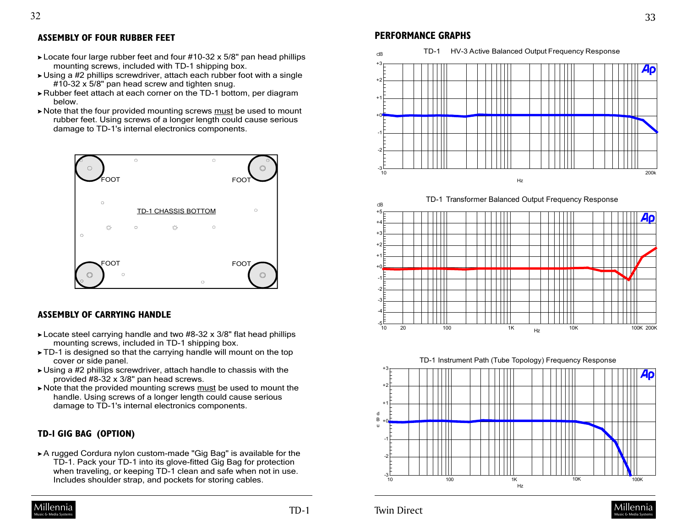### **ASSEMBLY OF FOUR RUBBER FEET**

32

- Locate four large rubber feet and four #10-32 x 5/8" pan head phillips mounting screws, included with TD-1 shipping box.
- Using a #2 phillips screwdriver, attach each rubber foot with a single #10-32 x 5/8" pan head screw and tighten snug.
- Rubber feet attach at each corner on the TD-1 bottom, per diagram below.
- Note that the four provided mounting screws must be used to mount rubber feet. Using screws of a longer length could cause serious damage to TD-1's internal electronics components.



#### **ASSEMBLY OF CARRYING HANDLE**

- ► Locate steel carrying handle and two #8-32 x 3/8" flat head phillips mounting screws, included in TD-1 shipping box.
- TD-1 is designed so that the carrying handle will mount on the top cover or side panel.
- Using a #2 phillips screwdriver, attach handle to chassis with the provided #8-32 x 3/8" pan head screws.
- Note that the provided mounting screws must be used to mount the handle. Using screws of a longer length could cause serious damage to TD-1's internal electronics components.

#### **TD-1 GIG BAG (OPTION)**

A rugged Cordura nylon custom-made "Gig Bag" is available for the TD-1. Pack your TD-1 into its glove-fitted Gig Bag for protection when traveling, or keeping TD-1 clean and safe when not in use. Includes shoulder strap, and pockets for storing cables.

## [Millennia](http://www.mil-media.com)

## **PERFORMANCE GRAPHS**



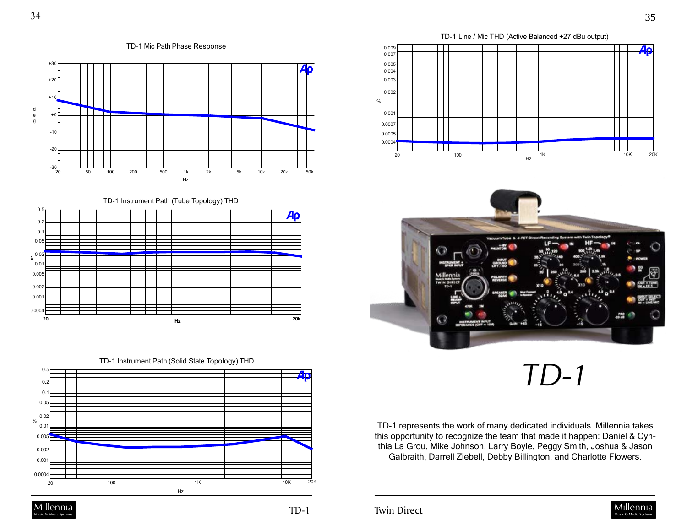d e g

 $\Box$ 

 $\Box$ 

TD-1 Line / Mic THD (Active Balanced +27 dBu output)





*TD-1*

TD-1 represents the work of many dedicated individuals. Millennia takes this opportunity to recognize the team that made it happen: Daniel & Cynthia La Grou, Mike Johnson, Larry Boyle, Peggy Smith, Joshua & Jason Galbraith, Darrell Ziebell, Debby Billington, and Charlotte Flowers.



TD-1 Instrument Path (Solid State Topology) THD TT 1

**<sup>20</sup> 20k Hz**

╾┽╾┽╾┽┽┽

TD-1 Instrument Path (Tube Topology) THD

Hz

 $\Box$ 

┯

++++

TD-1 Mic Path Phase Response





0.0004

0.5

0.001 0.002  $0.005$  $0.0$ 0.02 0.05  $0.1$  $0.2$ 

**%**

0.5

 $-30 - 20$ 

- <del>- 17 - 17</del>

┯╈

ĦĦ ┯

 $\Box$ 

 $\begin{tabular}{c} \multicolumn{1}{c} {\textbf{++}} \\ \multicolumn{1}{c} {\textbf{++}} \\ \multicolumn{1}{c} {\textbf{--}} \\ \multicolumn{1}{c} {\textbf{--}} \\ \multicolumn{1}{c} {\textbf{--}} \\ \multicolumn{1}{c} {\textbf{--}} \\ \multicolumn{1}{c} {\textbf{--}} \\ \multicolumn{1}{c} {\textbf{--}} \\ \multicolumn{1}{c} {\textbf{--}} \\ \multicolumn{1}{c} {\textbf{--}} \\ \multicolumn{1}{c} {\textbf{--}} \\ \multicolumn{1}{c} {\textbf{--}} \\ \multicolumn{1}{c} {\textbf{--}} \\ \multicolumn$ 

-20  $-10$ +0

+30

 $+10$ +20

Music & Media Systems TD-1 Twin Direct